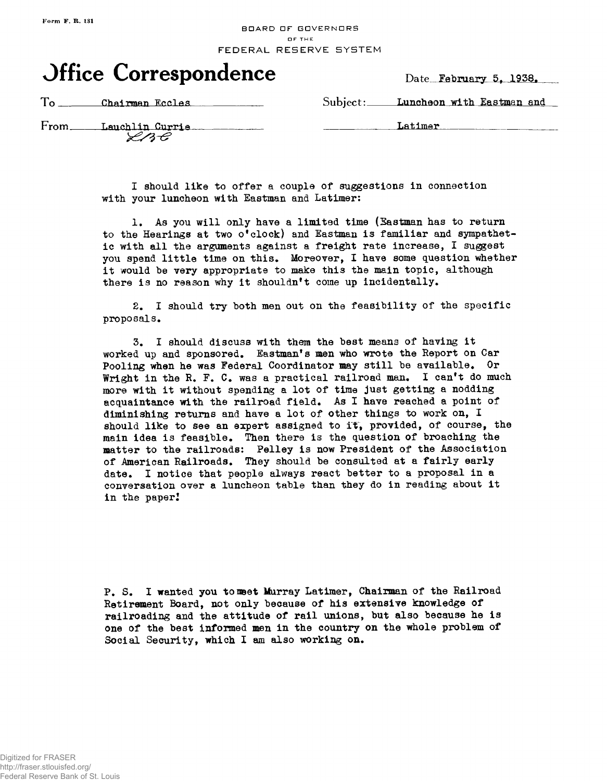## BDARD DF GDVERNDRS OF THE FEDERAL RESERVE SYSTEM



Date **February 5, 1938.** 

**To Chairman Eccles Communicated Subject: Luncheon with Eastman and** 

From Lauchlin Currie<br>
<del>Use</del>

Latimer

I should like to offer a couple of suggestions in connection with your luncheon with Eastman and Latimer:

1. As you will only have a limited time (Eastman has to return to the Hearings at two o'clock) and Eastman is familiar and sympathetic with all the arguments against a freight rate increase, I suggest you spend little time on this. Moreover, I have some question whether it would be very appropriate to make this the main topic, although there is no reason why it shouldn't come up incidentally.

2. I should try both men out on the feasibility of the specific proposals.

3. I should discuss with them the best means of having it worked up and sponsored, Eastman's men who wrote the Report on Car Pooling when he was Federal Coordinator may still be available. Or Wright in the R. F. C. was a practical railroad man. I can't do much more with it without spending a lot of time just getting a nodding acquaintance with the railroad field. As I have reached a point of diminishing returns and have a lot of other things to work on, I should like to see an expert assigned to it, provided, of course, the main idea is feasible. Then there is the question of broaching the matter to the railroads: Pelley is now President of the Association of American Railroads. They should be consulted at a fairly early date. I notice that people always react better to a proposal in a conversation over a luncheon table than they do in reading about it in the paper!

P. S. I wanted you to met Murray Latimer, Chairman of the Railroad Retirement Board, not only because of his extensive knowledge of railroading and the attitude of rail unions, but also because he is one of the best informed men in the country on the whole problem of Social Security, which I am also working on.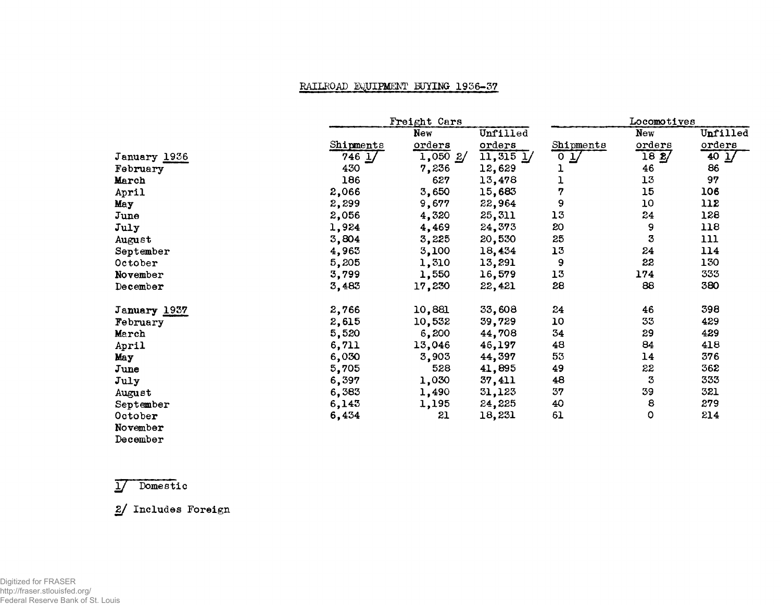## RAILROAD EQUIPMENT BUYING 1956-57

|              |                     | Freight Cars |               |                 | Locomotives |                           |  |
|--------------|---------------------|--------------|---------------|-----------------|-------------|---------------------------|--|
|              |                     | <b>New</b>   | Unfilled      |                 | New         | Unfilled                  |  |
|              | Shipments           | orders       | orders        | Shipments       | orders      | orders                    |  |
| January 1936 | $746 \underline{1}$ | $1,050$ $2/$ | $11,315$ $1/$ | $0 \frac{1}{2}$ | 182/        | $40 \underline{\text{J}}$ |  |
| February     | 430                 | 7,236        | 12,629        |                 | 46          | 86                        |  |
| March        | 186                 | 627          | 13,478        |                 | 13          | 97                        |  |
| April        | 2,066               | 3,650        | 15,683        | 7               | 15          | 106                       |  |
| May          | 2,299               | 9,677        | 22,964        | 9               | 10          | 112                       |  |
| June         | 2,056               | 4,320        | 25,311        | 13              | 24          | 128                       |  |
| July         | 1,924               | 4,469        | 24,373        | 20              | 9           | 118                       |  |
| August       | 3,804               | 3,225        | 20,530        | 25              | 3           | 111                       |  |
| September    | 4,963               | 3,100        | 18,434        | 13              | 24          | 114                       |  |
| October      | 5,205               | 1,310        | 13,291        | 9               | 22          | 130                       |  |
| November     | 3,799               | 1,550        | 16,579        | 13              | 174         | 333                       |  |
| December     | 3,483               | 17,230       | 22,421        | 28              | 88          | 380                       |  |
| January 1937 | 2,766               | 10,881       | 33,608        | 24              | 46          | 398                       |  |
| February     | 2,615               | 10,532       | 39,729        | 10              | 33          | 429                       |  |
| March        | 5,520               | 6,200        | 44,708        | 34              | 29          | 429                       |  |
| April        | 6,711               | 13,046       | 46,197        | 48              | 84          | 418                       |  |
| May          | 6,030               | 3,903        | 44,397        | 53              | 14          | 376                       |  |
| June         | 5,705               | 528          | 41,895        | 49              | 22          | 362                       |  |
| July         | 6,397               | 1,030        | 37,411        | 48              | 3           | 333                       |  |
| August       | 6,383               | 1,490        | 31,123        | 37              | 39          | 321                       |  |
| September    | 6,143               | 1,195        | 24,225        | 40              | 8           | 279                       |  |
| October      | 6,434               | 21           | 18,231        | 61              | 0           | 214                       |  |
| November     |                     |              |               |                 |             |                           |  |
| December     |                     |              |               |                 |             |                           |  |

Y] Domestic

2/ Includes Foreign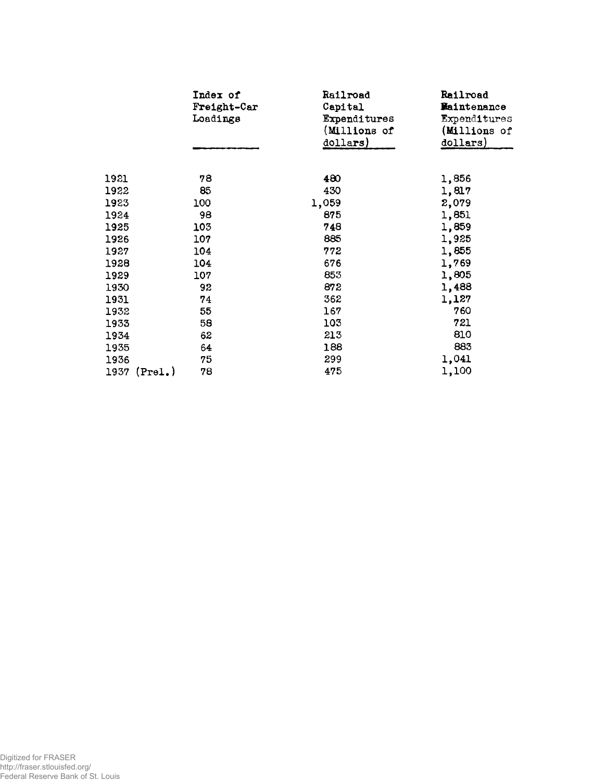|      | Index of<br>Freight-Car<br>Loadings | Railroad<br>Capital<br><b>Expenditures</b><br>(Millions of<br>dollars) | Railroad<br>Maintenance<br>Expenditures<br>(Millions of<br>dollars) |
|------|-------------------------------------|------------------------------------------------------------------------|---------------------------------------------------------------------|
|      |                                     |                                                                        |                                                                     |
| 1921 | 78                                  | 480                                                                    | 1,856                                                               |
| 1922 | 85                                  | 430                                                                    | 1,817                                                               |
| 1923 | 100                                 | 1,059                                                                  | 2,079                                                               |
| 1924 | 98                                  | 875                                                                    | 1,851                                                               |
| 1925 | 103                                 | 748                                                                    | 1,859                                                               |
| 1926 | 107                                 | 885                                                                    | 1,925                                                               |
| 1927 | 104                                 | 772                                                                    | 1,855                                                               |
| 1928 | 104                                 | 676                                                                    | 1,769                                                               |
| 1929 | 107                                 | 853                                                                    | 1,805                                                               |
| 1930 | 92                                  | 872                                                                    | 1,488                                                               |
| 1931 | 74                                  | 362                                                                    | 1,127                                                               |
| 1932 | 55                                  | 167                                                                    | 760                                                                 |
| 1933 | 58                                  | 103                                                                    | 721                                                                 |
| 1934 | 62                                  | 213                                                                    | 810                                                                 |
| 1935 | 64                                  | 188                                                                    | 883                                                                 |
| 1936 | 75                                  | 299                                                                    | 1,041                                                               |
| 1937 | 78<br>(Pre1.)                       | 475                                                                    | 1,100                                                               |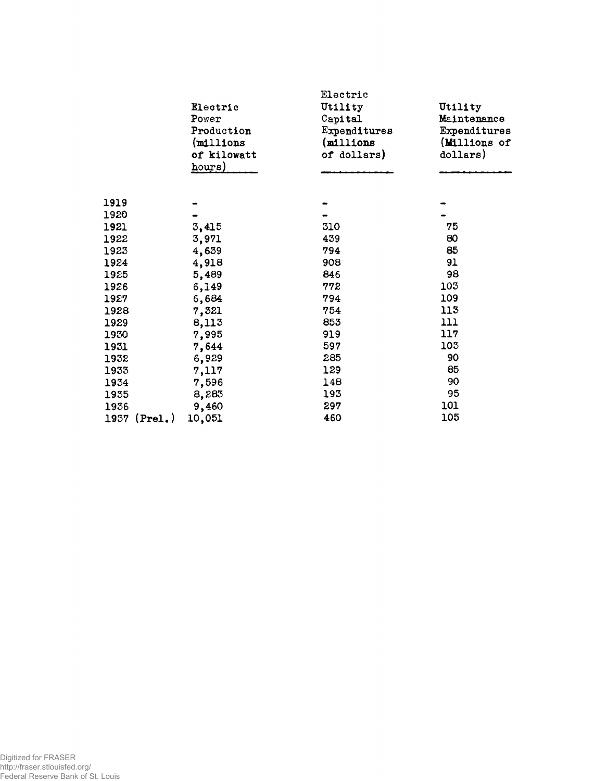|                 | Electric<br>Power<br>Production<br>(millions)<br>of kilowatt<br>hours) | Electric<br>Utility<br>Capital<br>Expenditures<br>(millions<br>of dollars) | Utility<br>Maintenance<br>Expenditures<br>(Millions of<br>dollars) |
|-----------------|------------------------------------------------------------------------|----------------------------------------------------------------------------|--------------------------------------------------------------------|
| 1919            |                                                                        |                                                                            |                                                                    |
| 1920            |                                                                        |                                                                            |                                                                    |
| 1921            | 3,415                                                                  | 310                                                                        | 75                                                                 |
| 1922            | 3,971                                                                  | 439                                                                        | 80                                                                 |
| 1923            | 4,639                                                                  | 794                                                                        | 85                                                                 |
| 1924            | 4,918                                                                  | 908                                                                        | 91                                                                 |
| 1925            | 5,489                                                                  | 846                                                                        | 98                                                                 |
| 1926            | 6,149                                                                  | 772                                                                        | 103                                                                |
| 1927            | 6,684                                                                  | 794                                                                        | 109                                                                |
| 1928            | 7,321                                                                  | 754                                                                        | 113                                                                |
| 1929            | 8,113                                                                  | 853                                                                        | 111                                                                |
| 1930            | 7,995                                                                  | 919                                                                        | 117                                                                |
| 1931            | 7,644                                                                  | 597                                                                        | 103                                                                |
| 1932            | 6,929                                                                  | 285                                                                        | 90                                                                 |
| 1933            | 7,117                                                                  | 129                                                                        | 85                                                                 |
| 1934            | 7,596                                                                  | 148                                                                        | 90                                                                 |
| 1935            | 8,283                                                                  | 193                                                                        | 95                                                                 |
| 1936            | 9,460                                                                  | 297                                                                        | 101                                                                |
| (Prel.)<br>1937 | 10,051                                                                 | 460                                                                        | 105                                                                |